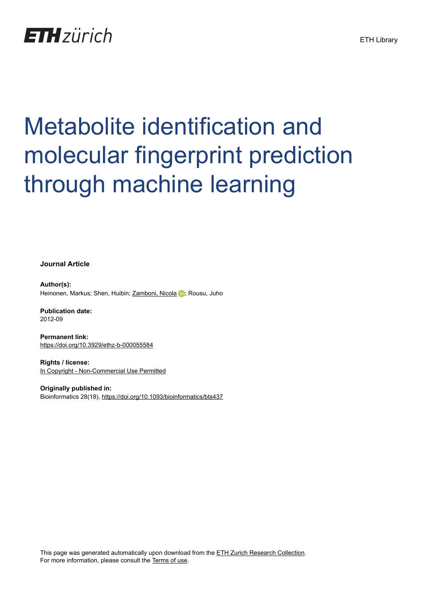## **ETH** zürich

# Metabolite identification and molecular fingerprint prediction through machine learning

**Journal Article**

**Author(s):** Heinonen, Markus; Shen, Huibin; [Zamboni, Nicola](https://orcid.org/0000-0003-1271-1021) D; Rousu, Juho

**Publication date:** 2012-09

**Permanent link:** <https://doi.org/10.3929/ethz-b-000055584>

**Rights / license:** [In Copyright - Non-Commercial Use Permitted](http://rightsstatements.org/page/InC-NC/1.0/)

**Originally published in:** Bioinformatics 28(18), <https://doi.org/10.1093/bioinformatics/bts437>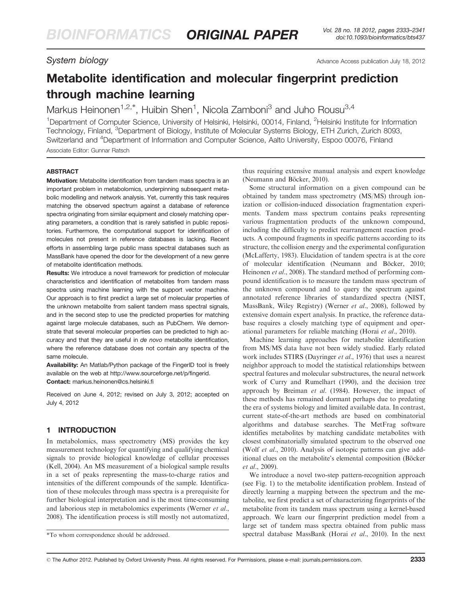System biology **Advance Access publication July 18, 2012** 

### Metabolite identification and molecular fingerprint prediction through machine learning

Markus Heinonen<sup>1,2,\*</sup>, Huibin Shen<sup>1</sup>, Nicola Zamboni<sup>3</sup> and Juho Rousu<sup>3,4</sup>

<sup>1</sup>Department of Computer Science, University of Helsinki, Helsinki, 00014, Finland, <sup>2</sup>Helsinki Institute for Information Technology, Finland, <sup>3</sup>Department of Biology, Institute of Molecular Systems Biology, ETH Zurich, Zurich 8093, Switzerland and <sup>4</sup>Department of Information and Computer Science, Aalto University, Espoo 00076, Finland Associate Editor: Gunnar Ratsch

#### **ABSTRACT**

Motivation: Metabolite identification from tandem mass spectra is an important problem in metabolomics, underpinning subsequent metabolic modelling and network analysis. Yet, currently this task requires matching the observed spectrum against a database of reference spectra originating from similar equipment and closely matching operating parameters, a condition that is rarely satisfied in public repositories. Furthermore, the computational support for identification of molecules not present in reference databases is lacking. Recent efforts in assembling large public mass spectral databases such as MassBank have opened the door for the development of a new genre of metabolite identification methods.

Results: We introduce a novel framework for prediction of molecular characteristics and identification of metabolites from tandem mass spectra using machine learning with the support vector machine. Our approach is to first predict a large set of molecular properties of the unknown metabolite from salient tandem mass spectral signals, and in the second step to use the predicted properties for matching against large molecule databases, such as PubChem. We demonstrate that several molecular properties can be predicted to high accuracy and that they are useful in de novo metabolite identification, where the reference database does not contain any spectra of the same molecule.

Availability: An Matlab/Python package of the FingerID tool is freely available on the web at<http://www.sourceforge.net/p/fingerid>. Contact: markus.heinonen@cs.helsinki.fi

Received on June 4, 2012; revised on July 3, 2012; accepted on July 4, 2012

#### 1 INTRODUCTION

In metabolomics, mass spectrometry (MS) provides the key measurement technology for quantifying and qualifying chemical signals to provide biological knowledge of cellular processes ([Kell, 2004](#page-9-0)). An MS measurement of a biological sample results in a set of peaks representing the mass-to-charge ratios and intensities of the different compounds of the sample. Identification of these molecules through mass spectra is a prerequisite for further biological interpretation and is the most time-consuming and laborious step in metabolomics experiments [\(Werner](#page-9-0) et al., [2008](#page-9-0)). The identification process is still mostly not automatized, thus requiring extensive manual analysis and expert knowledge (Neumann and Böcker, 2010).

Some structural information on a given compound can be obtained by tandem mass spectrometry (MS/MS) through ionization or collision-induced dissociation fragmentation experiments. Tandem mass spectrum contains peaks representing various fragmentation products of the unknown compound, including the difficulty to predict rearrangement reaction products. A compound fragments in specific patterns according to its structure, the collision energy and the experimental configuration ([McLafferty, 1983](#page-9-0)). Elucidation of tandem spectra is at the core of molecular identification (Neumann and Böcker, 2010; [Heinonen](#page-9-0) et al., 2008). The standard method of performing compound identification is to measure the tandem mass spectrum of the unknown compound and to query the spectrum against annotated reference libraries of standardized spectra (NIST, MassBank, Wiley Registry) [\(Werner](#page-9-0) et al., 2008), followed by extensive domain expert analysis. In practice, the reference database requires a closely matching type of equipment and operational parameters for reliable matching (Horai et al.[, 2010\)](#page-9-0).

Machine learning approaches for metabolite identification from MS/MS data have not been widely studied. Early related work includes STIRS ([Dayringer](#page-9-0) et al., 1976) that uses a nearest neighbor approach to model the statistical relationships between spectral features and molecular substructures, the neural network work of [Curry and Rumelhart \(1990\),](#page-9-0) and the decision tree approach by Breiman et al. (1984). However, the impact of these methods has remained dormant perhaps due to predating the era of systems biology and limited available data. In contrast, current state-of-the-art methods are based on combinatorial algorithms and database searches. The MetFrag software identifies metabolites by matching candidate metabolites with closest combinatorially simulated spectrum to the observed one (Wolf et al.[, 2010\).](#page-9-0) Analysis of isotopic patterns can give additional clues on the metabolite's elemental composition (Böcker et al.[, 2009](#page-9-0)).

We introduce a novel two-step pattern-recognition approach (see [Fig. 1](#page-2-0)) to the metabolite identification problem. Instead of directly learning a mapping between the spectrum and the metabolite, we first predict a set of characterizing fingerprints of the metabolite from its tandem mass spectrum using a kernel-based approach. We learn our fingerprint prediction model from a large set of tandem mass spectra obtained from public mass \*To whom correspondence should be addressed. spectral database MassBank (Horai et al.[, 2010\)](#page-9-0). In the next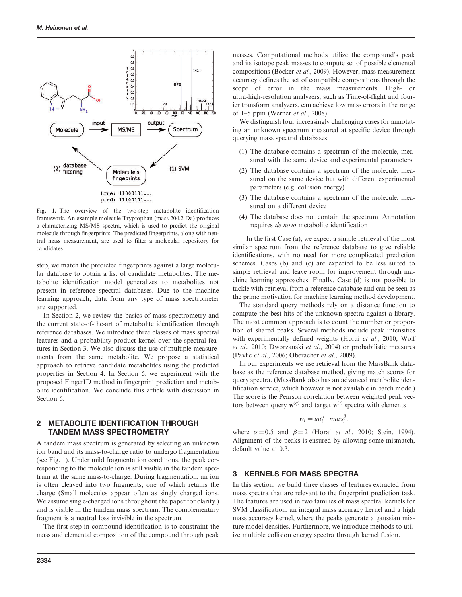<span id="page-2-0"></span>

Fig. 1. The overview of the two-step metabolite identification framework. An example molecule Tryptophan (mass 204.2 Da) produces a characterizing MS/MS spectra, which is used to predict the original molecule through fingerprints. The predicted fingerprints, along with neutral mass measurement, are used to filter a molecular repository for candidates

step, we match the predicted fingerprints against a large molecular database to obtain a list of candidate metabolites. The metabolite identification model generalizes to metabolites not present in reference spectral databases. Due to the machine learning approach, data from any type of mass spectrometer are supported.

In Section 2, we review the basics of mass spectrometry and the current state-of-the-art of metabolite identification through reference databases. We introduce three classes of mass spectral features and a probability product kernel over the spectral features in Section 3. We also discuss the use of multiple measurements from the same metabolite. We propose a statistical approach to retrieve candidate metabolites using the predicted properties in Section 4. In Section 5, we experiment with the proposed FingerID method in fingerprint prediction and metabolite identification. We conclude this article with discussion in Section 6.

#### 2 METABOLITE IDENTIFICATION THROUGH TANDEM MASS SPECTROMETRY

A tandem mass spectrum is generated by selecting an unknown ion band and its mass-to-charge ratio to undergo fragmentation (see Fig. 1). Under mild fragmentation conditions, the peak corresponding to the molecule ion is still visible in the tandem spectrum at the same mass-to-charge. During fragmentation, an ion is often cleaved into two fragments, one of which retains the charge (Small molecules appear often as singly charged ions. We assume single-charged ions throughout the paper for clarity.) and is visible in the tandem mass spectrum. The complementary fragment is a neutral loss invisible in the spectrum.

The first step in compound identification is to constraint the mass and elemental composition of the compound through peak masses. Computational methods utilize the compound's peak and its isotope peak masses to compute set of possible elemental compositions (Böcker et al., 2009). However, mass measurement accuracy defines the set of compatible compositions through the scope of error in the mass measurements. High- or ultra-high-resolution analyzers, such as Time-of-flight and fourier transform analyzers, can achieve low mass errors in the range of  $1-5$  ppm [\(Werner](#page-9-0) *et al.*, 2008).

We distinguish four increasingly challenging cases for annotating an unknown spectrum measured at specific device through querying mass spectral databases:

- (1) The database contains a spectrum of the molecule, measured with the same device and experimental parameters
- (2) The database contains a spectrum of the molecule, measured on the same device but with different experimental parameters (e.g. collision energy)
- (3) The database contains a spectrum of the molecule, measured on a different device
- (4) The database does not contain the spectrum. Annotation requires de novo metabolite identification

In the first Case (a), we expect a simple retrieval of the most similar spectrum from the reference database to give reliable identifications, with no need for more complicated prediction schemes. Cases (b) and (c) are expected to be less suited to simple retrieval and leave room for improvement through machine learning approaches. Finally, Case (d) is not possible to tackle with retrieval from a reference database and can be seen as the prime motivation for machine learning method development.

The standard query methods rely on a distance function to compute the best hits of the unknown spectra against a library. The most common approach is to count the number or proportion of shared peaks. Several methods include peak intensities with experimentally defined weights (Horai et al.[, 2010](#page-9-0); [Wolf](#page-9-0) et al.[, 2010; Dworzanski](#page-9-0) et al., 2004) or probabilistic measures [\(Pavlic](#page-9-0) et al., 2006; [Oberacher](#page-9-0) et al., 2009).

In our experiments we use retrieval from the MassBank database as the reference database method, giving match scores for query spectra. (MassBank also has an advanced metabolite identification service, which however is not available in batch mode.) The score is the Pearson correlation between weighted peak vectors between query  $w^{(q)}$  and target  $w^{(t)}$  spectra with elements

$$
w_i = int_i^{\alpha} \cdot mass_i^{\beta},
$$

where  $\alpha = 0.5$  and  $\beta = 2$  (Horai *et al.*[, 2010](#page-9-0); [Stein, 1994](#page-9-0)). Alignment of the peaks is ensured by allowing some mismatch, default value at 0.3.

#### 3 KERNELS FOR MASS SPECTRA

In this section, we build three classes of features extracted from mass spectra that are relevant to the fingerprint prediction task. The features are used in two families of mass spectral kernels for SVM classification: an integral mass accuracy kernel and a high mass accuracy kernel, where the peaks generate a gaussian mixture model densities. Furthermore, we introduce methods to utilize multiple collision energy spectra through kernel fusion.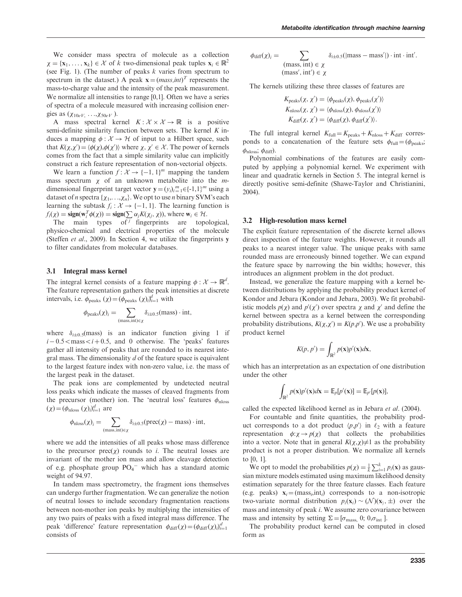We consider mass spectra of molecule as a collection  $\mathbf{x} = \{ \mathbf{x}_1, \dots, \mathbf{x}_k \} \in \mathcal{X}$  of k two-dimensional peak tuples  $\mathbf{x}_i \in \mathbb{R}^2$ (see [Fig. 1\)](#page-2-0). (The number of peaks  $k$  varies from spectrum to spectrum in the dataset.) A peak  $\mathbf{x} = (mass, int)^T$  represents the mass-to-charge value and the intensity of the peak measurement. We normalize all intensities to range [0,1]. Often we have a series of spectra of a molecule measured with increasing collision energies as  $(\chi_{10eV}, \ldots, \chi_{50eV})$ .

A mass spectral kernel  $K: \mathcal{X} \times \mathcal{X} \to \mathbb{R}$  is a positive semi-definite similarity function between sets. The kernel  $K$  induces a mapping  $\phi : \mathcal{X} \to \mathcal{H}$  of input to a Hilbert space, such that  $K(\chi, \chi') = \langle \phi(\chi), \phi(\chi') \rangle$  where  $\chi, \chi' \in \mathcal{X}$ . The power of kernels comes from the fact that a simple similarity value can implicitly construct a rich feature representation of non-vectorial objects.

We learn a function  $f: \mathcal{X} \to \{-1, 1\}^m$  mapping the tandem mass spectrum  $\chi$  of an unknown metabolite into the *m*dimensional fingerprint target vector  $\mathbf{y} = (y_i)_{i=1}^m \in \{-1,1\}^m$  using a dataset of n spectra  $\{\chi_1,\ldots,\chi_n\}$ . We opt to use n binary SVM's each learning the subtask  $f_i : \mathcal{X} \to \{-1, 1\}$ . The learning function is Find the submarbitration  $f_1(x) = \text{sign}(\sum_{i=1}^n a_i K(\chi_i, \chi_i))$ , where  $w_i \in \mathcal{H}$ .

The main types of fingerprints are topological, physico-chemical and electrical properties of the molecule ([Steffen](#page-9-0) et al., 2009). In Section 4, we utilize the fingerprints y to filter candidates from molecular databases.

#### 3.1 Integral mass kernel

The integral kernel consists of a feature mapping  $\phi : \mathcal{X} \to \mathbb{R}^d$ . The feature representation gathers the peak intensities at discrete intervals, i.e.  $\phi_{\text{peaks}}(\chi) = (\phi_{\text{peaks}}(\chi))_{i=1}^d$  with

$$
\phi_{\text{peaks}}(\chi)_i = \sum_{(\text{mass}, \text{int}) \in \chi} \delta_{i \pm 0.5}(\text{mass}) \cdot \text{int},
$$

where  $\delta_{i\pm 0.5}$ (mass) is an indicator function giving 1 if  $i - 0.5 <$  mass $i + 0.5$ , and 0 otherwise. The 'peaks' features gather all intensity of peaks that are rounded to its nearest integral mass. The dimensionality  $d$  of the feature space is equivalent to the largest feature index with non-zero value, i.e. the mass of the largest peak in the dataset.

The peak ions are complemented by undetected neutral loss peaks which indicate the masses of cleaved fragments from the precursor (mother) ion. The 'neutral loss' features  $\phi_{\text{nloss}}$  $(\chi) = (\phi_{\text{nloss}}(\chi))_{i=1}^d$  are

$$
\phi_{\text{nloss}}(\chi)_i = \sum_{(\text{mass}, \text{int}) \in \chi} \delta_{i \pm 0.5}(\text{prec}(\chi) - \text{mass}) \cdot \text{int},
$$

where we add the intensities of all peaks whose mass difference to the precursor  $prec(\chi)$  rounds to *i*. The neutral losses are invariant of the mother ion mass and allow cleavage detection of e.g. phosphate group  $PO_4$ <sup>-</sup> which has a standard atomic weight of 94.97.

In tandem mass spectrometry, the fragment ions themselves can undergo further fragmentation. We can generalize the notion of neutral losses to include secondary fragmentation reactions between non-mother ion peaks by multiplying the intensities of any two pairs of peaks with a fixed integral mass difference. The peak 'difference' feature representation  $\phi_{diff}(\chi) = (\phi_{diff}(\chi))_{i=1}^d$ consists of

$$
\phi_{\text{diff}}(\chi)_i = \sum_{\substack{\text{(mass, int)} \in \chi \\ \text{(mass', int')} \in \chi}} \delta_{i \pm 0.5}(\text{[mass - mass']) \cdot \text{int} \cdot \text{int'}.
$$

The kernels utilizing these three classes of features are

$$
K_{\text{peaks}}(\chi, \chi') = \langle \phi_{\text{peaks}}(\chi), \phi_{\text{peaks}}(\chi') \rangle
$$
  
\n
$$
K_{\text{nloss}}(\chi, \chi') = \langle \phi_{\text{nloss}}(\chi), \phi_{\text{nloss}}(\chi') \rangle
$$
  
\n
$$
K_{\text{diff}}(\chi, \chi') = \langle \phi_{\text{diff}}(\chi), \phi_{\text{diff}}(\chi') \rangle.
$$

The full integral kernel  $K_{\text{full}} = K_{\text{peaks}} + K_{\text{nloss}} + K_{\text{diff}}$  corresponds to a concatenation of the feature sets  $\phi_{\text{full}} = (\phi_{\text{peaks}};$  $\phi_{\text{nloss}}$ ;  $\phi_{\text{diff}}$ ).

Polynomial combinations of the features are easily computed by applying a polynomial kernel. We experiment with linear and quadratic kernels in Section 5. The integral kernel is directly positive semi-definite [\(Shawe-Taylor and Christianini,](#page-9-0) [2004](#page-9-0)).

#### 3.2 High-resolution mass kernel

The explicit feature representation of the discrete kernel allows direct inspection of the feature weights. However, it rounds all peaks to a nearest integer value. The unique peaks with same rounded mass are erroneously binned together. We can expand the feature space by narrowing the bin widths; however, this introduces an alignment problem in the dot product.

Instead, we generalize the feature mapping with a kernel between distributions by applying the probability product kernel of Kondor and Jebara [\(Kondor and Jebara, 2003](#page-9-0)). We fit probabilistic models  $p(\chi)$  and  $p'(\chi')$  over spectra  $\chi$  and  $\chi'$  and define the kernel between spectra as a kernel between the corresponding probability distributions,  $K(\chi, \chi') \equiv K(p, p')$ . We use a probability product kernel

$$
K(p, p') = \int_{\mathbb{R}^2} p(\mathbf{x}) p'(\mathbf{x}) d\mathbf{x},
$$

which has an interpretation as an expectation of one distribution under the other

$$
\int_{\mathbb{R}^2} p(\mathbf{x}) p'(\mathbf{x}) d\mathbf{x} = \mathbb{E}_p[p'(\mathbf{x})] = \mathbb{E}_{p'}[p(\mathbf{x})],
$$

called the expected likelihood kernel as in [Jebara](#page-9-0) et al. (2004).

For countable and finite quantities, the probability product corresponds to a dot product  $\langle p, p' \rangle$  in  $\ell_2$  with a feature representation  $\phi: \chi \to p(\chi)$  that collects the probabilities into a vector. Note that in general  $K(\chi,\chi) \neq 1$  as the probability product is not a proper distribution. We normalize all kernels to [0, 1].

We opt to model the probabilities  $p(\chi) = \frac{1}{k} \sum_{i=1}^{k} p_i(\mathbf{x})$  as gaussian mixture models estimated using maximum likelihood density estimation separately for the three feature classes. Each feature (e.g. peaks)  $\mathbf{x}_i = (mass_i, int_i)$  corresponds to a non-isotropic two-variate normal distribution  $p_i(\mathbf{x}_i) \sim (\mathcal{N})(\mathbf{x}_i, \pm)$  over the mass and intensity of peak i. We assume zero covariance between mass and intensity by setting  $\Sigma = [\sigma_{\text{mass}}\, 0; 0, \sigma_{\text{int}}\, ]$ .

The probability product kernel can be computed in closed form as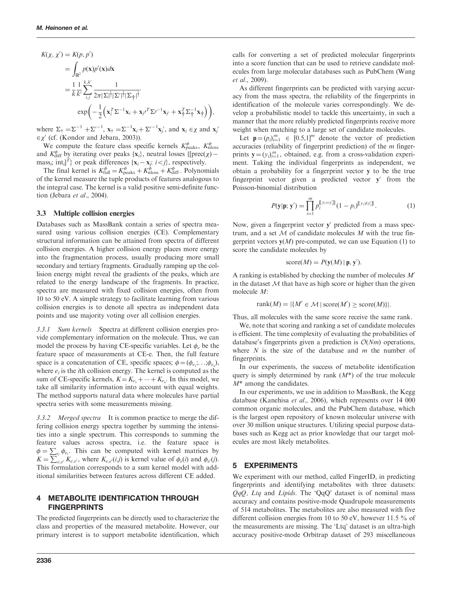$$
K(\chi, \chi') = K(p, p')
$$
  
= 
$$
\int_{\mathbb{R}^2} p(\mathbf{x}) p'(\mathbf{x}) d\mathbf{x}
$$
  
= 
$$
\frac{1}{k} \frac{1}{k'} \sum_{i,j}^{k,k'} \frac{1}{2\pi |\Sigma|^{\frac{1}{2}} |\Sigma'|^{\frac{1}{2}} |\Sigma_{\dagger}|^{\frac{1}{2}}} \cdot \exp\left(-\frac{1}{2} \left(\mathbf{x}_i^T \Sigma^{-1} \mathbf{x}_i + \mathbf{x}_j \mathbf{x}_j^T \Sigma \mathbf{x}_j + \mathbf{x}_j^T \Sigma_{\dagger}^{-1} \mathbf{x}_j \right)\right),
$$

where  $\Sigma_{\dagger} = \Sigma^{-1} + \Sigma'^{-1}$ ,  $\mathbf{x}_{\dagger} = \Sigma^{-1} \mathbf{x}_{i} + \Sigma'^{-1} \mathbf{x}'_{i}$ , and  $\mathbf{x}_{i} \in \chi$  and  $\mathbf{x}'_{i}$  $\in \chi'$  (cf. [\(Kondor and Jebara, 2003\)](#page-9-0)).

We compute the feature class specific kernels  $K_{\text{peaks}}^{\phi}$ ,  $K_{\text{nloss}}^{\phi}$ and  $K_{\text{diff}}^{\phi}$  by iterating over peaks {**x**<sub>i</sub>}, neutral losses { $\text{[prec]}(\chi)$  mass<sub>i</sub>; int<sub>i</sub>]<sup>T</sup>} or peak differences { $\mathbf{x}_i - \mathbf{x}_j$ : *i* <*j*}, respectively.

The final kernel is  $K_{\text{full}}^{\phi} = K_{\text{peaks}}^{\phi} + K_{\text{nloss}}^{\phi} + K_{\text{diff}}^{\phi}$ . Polynomials of the kernel measure the tuple products of features analogous to the integral case. The kernel is a valid positive semi-definite func-tion [\(Jebara](#page-9-0) et al., 2004).

#### 3.3 Multiple collision energies

Databases such as MassBank contain a series of spectra measured using various collision energies (CE). Complementary structural information can be attained from spectra of different collision energies. A higher collision energy places more energy into the fragmentation process, usually producing more small secondary and tertiary fragments. Gradually ramping up the collision energy might reveal the gradients of the peaks, which are related to the energy landscape of the fragments. In practice, spectra are measured with fixed collision energies, often from 10 to 50 eV. A simple strategy to facilitate learning from various collision energies is to denote all spectra as independent data points and use majority voting over all collision energies.

3.3.1 Sum kernels Spectra at different collision energies provide complementary information on the molecule. Thus, we can model the process by having CE-specific variables. Let  $\phi_e$  be the feature space of measurements at CE-e. Then, the full feature space is a concatenation of CE, specific spaces;  $\phi = (\phi_{e_1}, \dots, \phi_{e_n})$ , where  $e_i$  is the *i*th collision energy. The kernel is computed as the sum of CE-specific kernels,  $K = K_{e_1} + \cdots + K_{e_n}$ . In this model, we take all similarity information into account with equal weights. The method supports natural data where molecules have partial spectra series with some measurements missing.

3.3.2 Merged spectra It is common practice to merge the differing collision energy spectra together by summing the intensities into a single spectrum. This corresponds to summing the feature values across spectra, i.e. the feature space is  $\phi = \sum_{e_i} \phi_{e_i}$ . This can be computed with kernel matrices by  $K = \sum_{e,e'}^{e} K_{e,e'}$ , where  $K_{e,e'}(ij)$  is kernel value of  $\phi_e(i)$  and  $\phi_{e'}(j)$ . This formulation corresponds to a sum kernel model with additional similarities between features across different CE added.

#### 4 METABOLITE IDENTIFICATION THROUGH FINGERPRINTS

The predicted fingerprints can be directly used to characterize the class and properties of the measured metabolite. However, our primary interest is to support metabolite identification, which calls for converting a set of predicted molecular fingerprints into a score function that can be used to retrieve candidate molecules from large molecular databases such as PubChem [\(Wang](#page-9-0) et al.[, 2009](#page-9-0)).

As different fingerprints can be predicted with varying accuracy from the mass spectra, the reliability of the fingerprints in identification of the molecule varies correspondingly. We develop a probabilistic model to tackle this uncertainty, in such a manner that the more reliably predicted fingerprints receive more weight when matching to a large set of candidate molecules.

Let  $\mathbf{p} = (p_i)_{i=1}^m \in [0.5,1]^m$  denote the vector of prediction accuracies (reliability of fingerprint prediction) of the  $m$  fingerprints  $y = (y_i)_{i=1}^m$ , obtained, e.g. from a cross-validation experiment. Taking the individual fingerprints as independent, we obtain a probability for a fingerprint vector y to be the true fingerprint vector given a predicted vector  $y'$  from the Poisson-binomial distribution

$$
P(\mathbf{y}|\mathbf{p};\mathbf{y}') = \prod_{i=1}^{m} p_i^{\llbracket y_i = y'_i \rrbracket} (1 - p_i)^{\llbracket y_i \neq y'_i \rrbracket}.
$$
 (1)

Now, given a fingerprint vector  $y'$  predicted from a mass spectrum, and a set  $M$  of candidate molecules  $M$  with the true fingerprint vectors  $y(M)$  pre-computed, we can use Equation (1) to score the candidate molecules by

score
$$
(M) = P(y(M) | p, y')
$$
.

A ranking is established by checking the number of molecules  $M'$ in the dataset  $M$  that have as high score or higher than the given molecule M:

$$
rank(M) = |\{M' \in \mathcal{M} \mid score(M') \geq score(M)\}|.
$$

Thus, all molecules with the same score receive the same rank.

We, note that scoring and ranking a set of candidate molecules is efficient. The time complexity of evaluating the probabilities of database's fingerprints given a prediction is  $O(Nm)$  operations, where  $N$  is the size of the database and  $m$  the number of fingerprints.

In our experiments, the success of metabolite identification query is simply determined by rank  $(M^*)$  of the true molecule  $M^*$  among the candidates.

In our experiments, we use in addition to MassBank, the Kegg database ([Kanehisa](#page-9-0) et al., 2006), which represents over 14 000 common organic molecules, and the PubChem database, which is the largest open repository of known molecular universe with over 30 million unique structures. Utilizing special purpose databases such as Kegg act as prior knowledge that our target molecules are most likely metabolites.

#### 5 EXPERIMENTS

We experiment with our method, called FingerID, in predicting fingerprints and identifying metabolites with three datasets:  $QqQ$ , Ltq and Lipids. The 'QqQ' dataset is of nominal mass accuracy and contains positive-mode Quadrupole measurements of 514 metabolites. The metabolites are also measured with five different collision energies from 10 to 50 eV, however 11.5 % of the measurements are missing. The 'Ltq' dataset is an ultra-high accuracy positive-mode Orbitrap dataset of 293 miscellaneous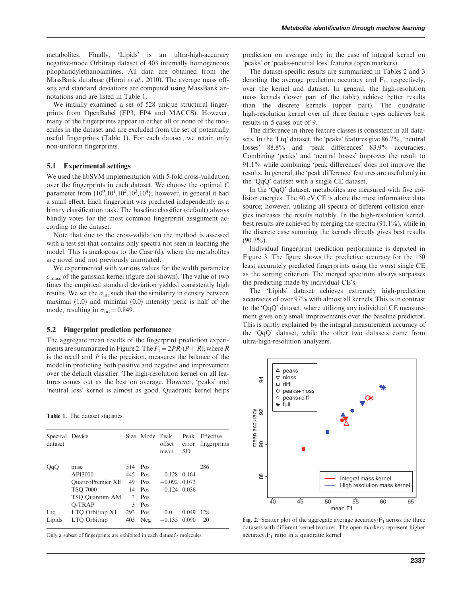metabolites. Finally, 'Lipids' is an ultra-high-accuracy negative-mode Orbitrap dataset of 403 internally homogeneous phophatidylethanolamines. All data are obtained from the MassBank database (Horai et al.[, 2010\)](#page-9-0). The average mass offsets and standard deviations are computed using MassBank annotations and are listed in Table 1.

We initially examined a set of 528 unique structural fingerprints from OpenBabel (FP3, FP4 and MACCS). However, many of the fingerprints appear in either all or none of the molecules in the dataset and are excluded from the set of potentially useful fingerprints (Table 1). For each dataset, we retain only non-uniform fingerprints.

#### 5.1 Experimental settings

We used the libSVM implementation with 5-fold cross-validation over the fingerprints in each dataset. We choose the optimal C parameter from  $\{10^0, 10^1, 10^2, 10^3, 10^4\}$ ; however, in general it had a small effect. Each fingerprint was predicted independently as a binary classification task. The baseline classifier (default) always blindly votes for the most common fingerprint assignment according to the dataset.

Note that due to the cross-validation the method is assessed with a test set that contains only spectra not seen in learning the model. This is analogous to the Case (d), where the metabolites are novel and not previously annotated.

We experimented with various values for the width parameter  $\sigma_{\text{mass}}$  of the gaussian kernel (figure not shown). The value of two times the empirical standard deviation yielded consistently high results. We set the  $\sigma_{\text{int}}$  such that the similarity in density between maximal (1.0) and minimal (0.0) intensity peak is half of the mode, resulting in  $\sigma_{\text{int}} = 0.849$ .

#### 5.2 Fingerprint prediction performance

The aggregate mean results of the fingerprint prediction experiments are summarized in Figure 2. The  $F_1 = 2PR/(P + R)$ , where R is the recall and  $P$  is the precision, measures the balance of the model in predicting both positive and negative and improvement over the default classifier. The high-resolution kernel on all features comes out as the best on average. However, 'peaks' and 'neutral loss' kernel is almost as good. Quadratic kernel helps

#### Table 1. The dataset statistics

| Spectral Device<br>dataset |                                                                                  |                        | Size Mode Peak                      | offset<br>mean                            | SD.            | Peak Effective<br>error fingerprints |
|----------------------------|----------------------------------------------------------------------------------|------------------------|-------------------------------------|-------------------------------------------|----------------|--------------------------------------|
| QqQ                        | misc<br>API3000<br><b>OuattroPremier XE</b><br><b>TSO 7000</b><br>TSO Quantum AM | 514<br>445<br>49<br>14 | Pos<br>Pos<br>Pos<br>Pos<br>$3$ Pos | 0.128<br>$-0.092$ 0.073<br>$-0.124$ 0.036 | 0.164          | 286                                  |
| $L$ tq<br>Lipids           | O-TRAP<br>LTO Orbitrap XL<br>LTQ Orbitrap                                        | 3<br>293<br>403        | Pos<br>Pos<br>Neg                   | 0.0<br>$-0.135$                           | 0.049<br>0.090 | 128<br>20                            |

Only a subset of fingerprints are exhibited in each dataset's molecules.

prediction on average only in the case of integral kernel on 'peaks' or 'peaks+neutral loss' features (open markers).

The dataset-specific results are summarized in [Tables 2](#page-6-0) and [3](#page-7-0) denoting the average prediction accuracy and  $F_1$ , respectively, over the kernel and dataset. In general, the high-resolution mass kernels (lower part of the table) achieve better results than the discrete kernels (upper part). The quadratic high-resolution kernel over all three feature types achieves best results in 5 cases out of 9.

The difference in three feature classes is consistent in all datasets. In the 'Ltq' dataset, the 'peaks' features give 86.7%, 'neutral losses' 88.8% and 'peak differences' 83.9% accuracies. Combining 'peaks' and 'neutral losses' improves the result to 91.1% while combining 'peak differences' does not improve the results. In general, the 'peak difference' features are useful only in the 'QqQ' dataset with a single CE dataset.

In the 'QqQ' dataset, metabolites are measured with five collision energies. The 40 eV CE is alone the most informative data source; however, utilizing all spectra of different collision energies increases the results notably. In the high-resolution kernel, best results are achieved by merging the spectra (91.1%), while in the discrete case summing the kernels directly gives best results  $(90.7\%)$ .

Individual fingerprint prediction performance is depicted in [Figure 3](#page-7-0). The figure shows the predictive accuracy for the 150 least accurately predicted fingerprints using the worst single CE as the sorting criterion. The merged spectrum always surpasses the predicting made by individual CE's.

The 'Lipids' dataset achieves extremely high-prediction accuracies of over 97% with almost all kernels. This is in contrast to the 'QqQ' dataset, where utilizing any individual CE measurement gives only small improvements over the baseline predictor. This is partly explained by the integral measurement accuracy of the 'QqQ' dataset, while the other two datasets come from ultra-high-resolution analyzers.



Fig. 2. Scatter plot of the aggregate average accuracy/ $F_1$  across the three datasets with different kernel features. The open markers represent higher  $accuracy/F<sub>1</sub>$  ratio in a quadratic kernel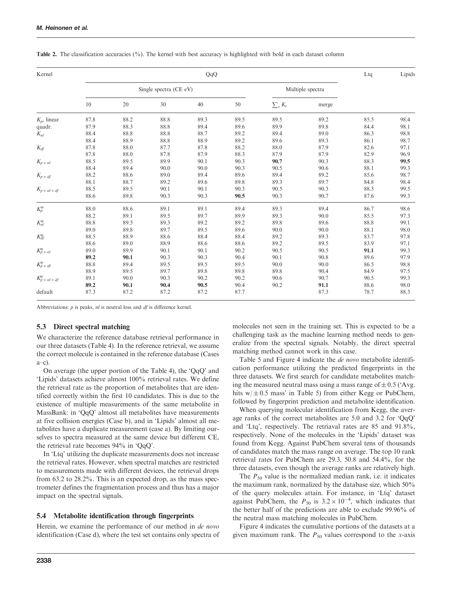| Kernel                  |      | QqQ                    |      |      |      |              |                  |      |      |
|-------------------------|------|------------------------|------|------|------|--------------|------------------|------|------|
|                         |      | Single spectra (CE eV) |      |      |      |              | Multiple spectra |      |      |
|                         | 10   | 20                     | 30   | 40   | 50   | $\sum_e K_e$ | merge            |      |      |
| $K_p$ , linear          | 87.8 | 88.2                   | 88.8 | 89.3 | 89.5 | 89.5         | 89.2             | 85.5 | 98.4 |
| quadr.                  | 87.9 | 88.3                   | 88.8 | 89.4 | 89.6 | 89.9         | 89.8             | 84.4 | 98.1 |
| $K_{nl}$                | 88.4 | 88.8                   | 88.8 | 88.7 | 89.2 | 89.4         | 89.0             | 86.3 | 98.8 |
|                         | 88.4 | 88.9                   | 88.8 | 88.9 | 89.2 | 89.6         | 89.3             | 86.1 | 98.7 |
| $K_{df}$                | 87.8 | 88.0                   | 87.7 | 87.8 | 88.2 | 88.0         | 87.9             | 82.6 | 97.1 |
|                         | 87.8 | 88.0                   | 87.8 | 87.9 | 88.3 | 87.9         | 87.9             | 82.9 | 96.9 |
| $K_{\boldsymbol{p}+nl}$ | 88.5 | 89.5                   | 89.9 | 90.1 | 90.3 | 90.7         | 90.3             | 88.3 | 99.5 |
|                         | 88.4 | 89.4                   | 90.0 | 90.0 | 90.3 | 90.5         | 90.6             | 88.1 | 99.3 |
| $K_{\!p+df}$            | 88.2 | 88.6                   | 89.0 | 89.4 | 89.6 | 89.4         | 89.2             | 85.6 | 98.7 |
|                         | 88.1 | 88.7                   | 89.2 | 89.6 | 89.8 | 89.3         | 89.7             | 84.8 | 98.4 |
| $K_{p+nl+df}$           | 88.5 | 89.5                   | 90.1 | 90.1 | 90.3 | 90.5         | 90.3             | 88.3 | 99.5 |
|                         | 88.6 | 89.8                   | 90.3 | 90.3 | 90.5 | 90.3         | 90.7             | 87.6 | 99.3 |
| $K_p^{\varphi}$         | 88.0 | 88.6                   | 89.1 | 89.1 | 89.4 | 89.3         | 89.4             | 86.7 | 98.6 |
|                         | 88.2 | 89.1                   | 89.5 | 89.7 | 89.9 | 89.3         | 90.0             | 85.5 | 97.3 |
| $K_{nl}^{\varphi}$      | 88.8 | 89.5                   | 89.3 | 89.2 | 89.2 | 89.8         | 89.6             | 88.8 | 99.1 |
|                         | 89.0 | 89.8                   | 89.7 | 89.5 | 89.6 | 90.0         | 90.0             | 88.1 | 98.0 |
| $K_{df}^{\varphi}$      | 88.5 | 88.9                   | 88.6 | 88.4 | 88.4 | 89.2         | 89.3             | 83.7 | 97.8 |
|                         | 88.6 | 89.0                   | 88.9 | 88.6 | 88.6 | 89.2         | 89.5             | 83.9 | 97.1 |
| $K_{p+nl}^{\varphi}$    | 89.0 | 89.9                   | 90.1 | 90.1 | 90.2 | 90.5         | 90.5             | 91.1 | 99.3 |
|                         | 89.2 | 90.1                   | 90.3 | 90.3 | 90.4 | 90.1         | 90.8             | 89.6 | 97.9 |
| $K_{p+df}^{\varphi}$    | 88.8 | 89.4                   | 89.5 | 89.5 | 89.5 | 90.0         | 90.0             | 86.5 | 98.8 |
|                         | 88.9 | 89.5                   | 89.7 | 89.8 | 89.8 | 89.8         | 90.4             | 84.9 | 97.5 |
| $K_p^{\phi}$ + nl + df  | 89.1 | 90.0                   | 90.3 | 90.2 | 90.2 | 90.6         | 90.7             | 90.5 | 99.3 |
|                         | 89.2 | 90.1                   | 90.4 | 90.5 | 90.4 | 90.2         | 91.1             | 88.6 | 98.0 |
| default                 | 87.3 | 87.2                   | 87.2 | 87.2 | 87.7 |              | 87.3             | 78.7 | 88.3 |

<span id="page-6-0"></span>Table 2. The classification accuracies (%). The kernel with best accuracy is highlighted with bold in each dataset column

Abbreviations: *p* is peaks, *nl* is neutral loss and *df* is difference kernel.

#### 5.3 Direct spectral matching

We characterize the reference database retrieval performance in our three datasets ([Table 4\)](#page-8-0). In the reference retrieval, we assume the correct molecule is contained in the reference database (Cases a–c).

On average (the upper portion of the [Table 4](#page-8-0)), the 'QqQ' and 'Lipids' datasets achieve almost 100% retrieval rates. We define the retrieval rate as the proportion of metabolites that are identified correctly within the first 10 candidates. This is due to the existence of multiple measurements of the same metabolite in MassBank: in 'QqQ' almost all metabolites have measurements at five collision energies (Case b), and in 'Lipids' almost all metabolites have a duplicate measurement (case a). By limiting ourselves to spectra measured at the same device but different CE, the retrieval rate becomes 94% in 'QqQ'.

In 'Ltq' utilizing the duplicate measurements does not increase the retrieval rates. However, when spectral matches are restricted to measurements made with different devices, the retrieval drops from 63.2 to 28.2%. This is an expected drop, as the mass spectrometer defines the fragmentation process and thus has a major impact on the spectral signals.

#### 5.4 Metabolite identification through fingerprints

Herein, we examine the performance of our method in de novo identification (Case d), where the test set contains only spectra of molecules not seen in the training set. This is expected to be a challenging task as the machine learning method needs to generalize from the spectral signals. Notably, the direct spectral matching method cannot work in this case.

[Table 5](#page-8-0) and [Figure 4](#page-8-0) indicate the de novo metabolite identification performance utilizing the predicted fingerprints in the three datasets. We first search for candidate metabolites matching the measured neutral mass using a mass range of  $\pm$  0.5 ('Avg. hits  $w/\pm 0.5$  mass' in [Table 5\)](#page-8-0) from either Kegg or PubChem, followed by fingerprint prediction and metabolite identification.

When querying molecular identification from Kegg, the average ranks of the correct metabolites are 5.0 and 3.2 for 'QqQ' and 'Ltq', respectively. The retriaval rates are 85 and 91.8%, respectively. None of the molecules in the 'Lipids' dataset was found from Kegg. Against PubChem several tens of thousands of candidates match the mass range on average. The top 10 rank retrieval rates for PubChem are 29.3, 50.8 and 54.4%, for the three datasets, even though the average ranks are relatively high.

The  $P_{50}$  value is the normalized median rank, i.e. it indicates the maximum rank, normalized by the database size, which 50% of the query molecules attain. For instance, in 'Ltq' dataset against PubChem, the  $P_{50}$  is  $3.2 \times 10^{-4}$ , which indicates that the better half of the predictions are able to exclude 99.96% of the neutral mass matching molecules in PubChem.

[Figure 4](#page-8-0) indicates the cumulative portions of the datasets at a given maximum rank. The  $P_{50}$  values correspond to the x-axis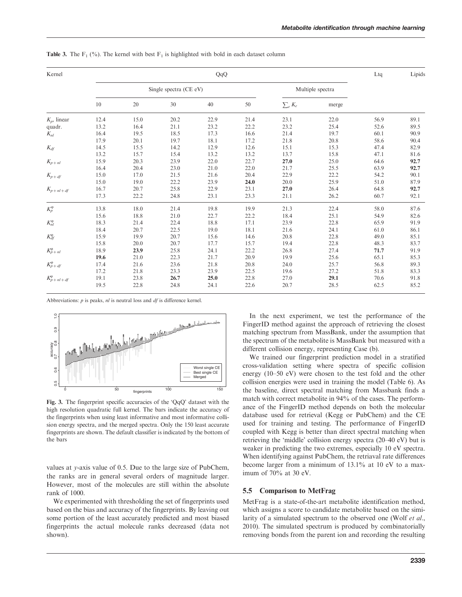| Kernel                 |      | QqQ  |                        |      |      |                  |       |      |      |  |
|------------------------|------|------|------------------------|------|------|------------------|-------|------|------|--|
|                        |      |      | Single spectra (CE eV) |      |      | Multiple spectra |       |      |      |  |
|                        | 10   | 20   | 30                     | 40   | 50   | $\sum_e K_e$     | merge |      |      |  |
| $K_p$ , linear         | 12.4 | 15.0 | 20.2                   | 22.9 | 21.4 | 23.1             | 22.0  | 56.9 | 89.1 |  |
| quadr.                 | 13.2 | 16.4 | 21.1                   | 23.2 | 22.2 | 23.2             | 25.4  | 52.6 | 89.5 |  |
| $K_{nl}$               | 16.4 | 19.5 | 18.5                   | 17.3 | 16.6 | 21.4             | 19.7  | 60.1 | 90.9 |  |
|                        | 17.9 | 20.1 | 19.7                   | 18.1 | 17.2 | 21.8             | 20.8  | 58.6 | 90.4 |  |
| $K_{df}$               | 14.5 | 15.5 | 14.2                   | 12.9 | 12.6 | 15.1             | 15.3  | 47.4 | 82.9 |  |
|                        | 13.2 | 15.7 | 15.4                   | 13.2 | 13.2 | 13.7             | 15.8  | 47.1 | 81.6 |  |
| $K_{p+nl}$             | 15.9 | 20.3 | 23.9                   | 22.0 | 22.7 | 27.0             | 25.0  | 64.6 | 92.7 |  |
|                        | 16.4 | 20.4 | 23.0                   | 21.0 | 22.0 | 21.7             | 25.5  | 63.9 | 92.7 |  |
| $K_{\!p+df}$           | 15.0 | 17.0 | 21.5                   | 21.6 | 20.4 | 22.9             | 22.2  | 54.2 | 90.1 |  |
|                        | 15.0 | 19.0 | 22.2                   | 23.9 | 24.0 | 20.0             | 25.9  | 51.0 | 87.9 |  |
| $K_{p+nl+df}$          | 16.7 | 20.7 | 25.8                   | 22.9 | 23.1 | 27.0             | 26.4  | 64.8 | 92.7 |  |
|                        | 17.3 | 22.2 | 24.8                   | 23.1 | 23.3 | 21.1             | 26.2  | 60.7 | 92.1 |  |
| $K_p^{\varphi}$        | 13.8 | 18.0 | 21.4                   | 19.8 | 19.9 | 21.3             | 22.4  | 58.0 | 87.6 |  |
|                        | 15.6 | 18.8 | 21.0                   | 22.7 | 22.2 | 18.4             | 25.1  | 54.9 | 82.6 |  |
| $K_{nl}^\varphi$       | 18.3 | 21.4 | 22.4                   | 18.8 | 17.1 | 23.9             | 22.8  | 65.9 | 91.9 |  |
|                        | 18.4 | 20.7 | 22.5                   | 19.0 | 18.1 | 21.6             | 24.1  | 61.0 | 86.1 |  |
| $K_{df}^{\varphi}$     | 15.9 | 19.9 | 20.7                   | 15.6 | 14.6 | 20.8             | 22.8  | 49.0 | 85.1 |  |
|                        | 15.8 | 20.0 | 20.7                   | 17.7 | 15.7 | 19.4             | 22.8  | 48.3 | 83.7 |  |
| $K_{p+nl}^{\varphi}$   | 18.9 | 23.9 | 25.8                   | 24.1 | 22.2 | 26.8             | 27.4  | 71.7 | 91.9 |  |
|                        | 19.6 | 21.0 | 22.3                   | 21.7 | 20.9 | 19.9             | 25.6  | 65.1 | 85.3 |  |
| $K_{p+df}^{\varphi}$   | 17.4 | 21.6 | 23.6                   | 21.8 | 20.8 | 24.0             | 25.7  | 56.8 | 89.3 |  |
|                        | 17.2 | 21.8 | 23.3                   | 23.9 | 22.5 | 19.6             | 27.2  | 51.8 | 83.3 |  |
| $K_p^{\phi}$ + nl + df | 19.1 | 23.8 | 26.7                   | 25.0 | 22.8 | 27.0             | 29.1  | 70.6 | 91.8 |  |
|                        | 19.5 | 22.8 | 24.8                   | 24.1 | 22.6 | 20.7             | 28.5  | 62.5 | 85.2 |  |

<span id="page-7-0"></span>**Table 3.** The F<sub>1</sub> (%). The kernel with best F<sub>1</sub> is highlighted with bold in each dataset column

Abbreviations:  $p$  is peaks,  $nl$  is neutral loss and  $df$  is difference kernel.



Fig. 3. The fingerprint specific accuracies of the 'QqQ' dataset with the high resolution quadratic full kernel. The bars indicate the accuracy of the fingerprints when using least informative and most informative collision energy spectra, and the merged spectra. Only the 150 least accurate fingerprints are shown. The default classifier is indicated by the bottom of the bars

values at y-axis value of 0.5. Due to the large size of PubChem, the ranks are in general several orders of magnitude larger. However, most of the molecules are still within the absolute rank of 1000.

We experimented with thresholding the set of fingerprints used based on the bias and accuracy of the fingerprints. By leaving out some portion of the least accurately predicted and most biased fingerprints the actual molecule ranks decreased (data not shown).

In the next experiment, we test the performance of the FingerID method against the approach of retrieving the closest matching spectrum from MassBank, under the assumption that the spectrum of the metabolite is MassBank but measured with a different collision energy, representing Case (b).

We trained our fingerprint prediction model in a stratified cross-validation setting where spectra of specific collision energy (10–50 eV) were chosen to the test fold and the other collision energies were used in training the model [\(Table 6](#page-8-0)). As the baseline, direct spectral matching from Massbank finds a match with correct metabolite in 94% of the cases. The performance of the FingerID method depends on both the molecular database used for retrieval (Kegg or PubChem) and the CE used for training and testing. The performance of FingerID coupled with Kegg is better than direct spectral matching when retrieving the 'middle' collision energy spectra (20–40 eV) but is weaker in predicting the two extremes, especially 10 eV spectra. When identifying against PubChem, the retriaval rate differences become larger from a minimum of 13.1% at 10 eV to a maximum of 70% at 30 eV.

#### 5.5 Comparison to MetFrag

MetFrag is a state-of-the-art metabolite identification method, which assigns a score to candidate metabolite based on the similarity of a simulated spectrum to the observed one (Wolf [et al.](#page-9-0), [2010](#page-9-0)). The simulated spectrum is produced by combinatorially removing bonds from the parent ion and recording the resulting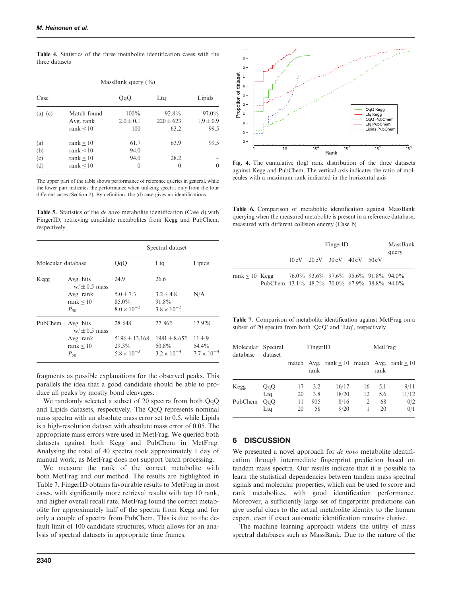| un ce autuscu          |                                            |                                 |                                |                                   |  |  |  |  |  |
|------------------------|--------------------------------------------|---------------------------------|--------------------------------|-----------------------------------|--|--|--|--|--|
| MassBank query $(\% )$ |                                            |                                 |                                |                                   |  |  |  |  |  |
| Case                   |                                            | QqQ                             | Ltq                            | Lipids                            |  |  |  |  |  |
| $(a)$ – $(c)$          | Match found<br>Avg. rank<br>rank $\leq 10$ | $100\%$<br>$2.0 \pm 0.1$<br>100 | 92.8%<br>$220 \pm 623$<br>63.2 | $97.0\%$<br>$1.9 \pm 0.9$<br>99.5 |  |  |  |  |  |

<span id="page-8-0"></span>Table 4. Statistics of the three metabolite identification cases with the three datasets

| (a) | rank $< 10$    | 61.7     | 63.9                     | 99.5     |
|-----|----------------|----------|--------------------------|----------|
| (b) | rank $\leq 10$ | 94.0     | $\overline{\phantom{0}}$ | -        |
| (c) | rank $\leq 10$ | 94.0     | 28.2                     | -        |
| (d) | rank $< 10$    | $\theta$ |                          | $\Omega$ |
|     |                |          |                          |          |

The upper part of the table shows performance of reference queries in general, while the lower part indicates the performance when utilizing spectra only from the four different cases (Section 2). By definition, the (d) case gives no identifications.

Table 5. Statistics of the de novo metabolite identification (Case d) with FingerID, retrieving candidate metabolites from Kegg and PubChem, respectively

|                    |                               | Spectral dataset                 |                                  |                               |  |  |
|--------------------|-------------------------------|----------------------------------|----------------------------------|-------------------------------|--|--|
| Molecular database |                               | QqQ                              | Ltg                              | Lipids                        |  |  |
| Kegg               | Avg. hits<br>$w/\pm 0.5$ mass | 24.9                             | 26.6                             |                               |  |  |
|                    | Avg. rank                     | $5.0 \pm 7.3$                    | $3.2 + 4.8$                      | N/A                           |  |  |
|                    | rank $< 10$<br>$P_{50}$       | $85.0\%$<br>$8.0 \times 10^{-2}$ | 91.8%<br>$3.8 \times 10^{-2}$    |                               |  |  |
| PubChem            | Avg. hits<br>$w/\pm 0.5$ mass | 28 648                           | 27 862                           | 12 928                        |  |  |
|                    | Avg. rank                     | $5196 \pm 13,168$                | $1981 \pm 8,652$                 | $11 \pm 9$                    |  |  |
|                    | rank $\leq 10$<br>$P_{50}$    | $29.3\%$<br>$5.8 \times 10^{-3}$ | $50.8\%$<br>$3.2 \times 10^{-4}$ | 54.4%<br>$7.7 \times 10^{-4}$ |  |  |

fragments as possible explanations for the observed peaks. This parallels the idea that a good candidate should be able to produce all peaks by mostly bond cleavages.

We randomly selected a subset of 20 spectra from both QqQ and Lipids datasets, respectively. The QqQ represents nominal mass spectra with an absolute mass error set to 0.5, while Lipids is a high-resolution dataset with absolute mass error of 0.05. The appropriate mass errors were used in MetFrag. We queried both datasets against both Kegg and PubChem in MetFrag. Analysing the total of 40 spectra took approximately 1 day of manual work, as MetFrag does not support batch processing.

We measure the rank of the correct metabolite with both MetFrag and our method. The results are highlighted in Table 7. FingerID obtains favourable results to MetFrag in most cases, with significantly more retrieval results with top 10 rank, and higher overall recall rate. MetFrag found the correct metabolite for approximately half of the spectra from Kegg and for only a couple of spectra from PubChem. This is due to the default limit of 100 candidate structures, which allows for an analysis of spectral datasets in appropriate time frames.



Fig. 4. The cumulative (log) rank distribution of the three datasets against Kegg and PubChem. The vertical axis indicates the ratio of molecules with a maximum rank indicated in the horizontal axis

Table 6. Comparison of metabolite identification against MassBank querying when the measured metabolite is present in a reference database, measured with different collision energy (Case b)

|                                                                    |  | MassBank<br>query |                                                                                 |                                     |  |
|--------------------------------------------------------------------|--|-------------------|---------------------------------------------------------------------------------|-------------------------------------|--|
|                                                                    |  |                   | $10 \text{ eV}$ $20 \text{ eV}$ $30 \text{ eV}$ $40 \text{ eV}$ $50 \text{ eV}$ |                                     |  |
| $rank \leq 10$ Kegg<br>PubChem 13.1% 48.2% 70.0% 67.9% 38.8% 94.0% |  |                   |                                                                                 | 76.0% 93.6% 97.6% 95.6% 91.8% 94.0% |  |

Table 7. Comparison of metabolite identification against MetFrag on a subset of 20 spectra from both 'QqQ' and 'Ltq', respectively

| Molecular Spectral<br>database | dataset |    | FingerID |                                                     |                | MetFrag |       |  |
|--------------------------------|---------|----|----------|-----------------------------------------------------|----------------|---------|-------|--|
|                                |         |    | rank     | match Avg. rank $\leq 10$ match Avg. rank $\leq 10$ |                | rank    |       |  |
| Kegg                           | QqQ     | 17 | 3.2      | 16/17                                               | 16             | 5.1     | 9/11  |  |
|                                | Ltg     | 20 | 3.8      | 18/20                                               | 12             | 5.6     | 11/12 |  |
| PubChem                        | QqQ     | 11 | 905      | 8/16                                                | $\overline{2}$ | 68      | 0/2   |  |
|                                | Ltg     | 20 | 58       | 9/20                                                |                | 20      | 0/1   |  |

#### 6 DISCUSSION

We presented a novel approach for *de novo* metabolite identification through intermediate fingerprint prediction based on tandem mass spectra. Our results indicate that it is possible to learn the statistical dependencies between tandem mass spectral signals and molecular properties, which can be used to score and rank metabolites, with good identification performance. Moreover, a sufficiently large set of fingerprint predictions can give useful clues to the actual metabolite identity to the human expert, even if exact automatic identification remains elusive.

The machine learning approach widens the utility of mass spectral databases such as MassBank. Due to the nature of the